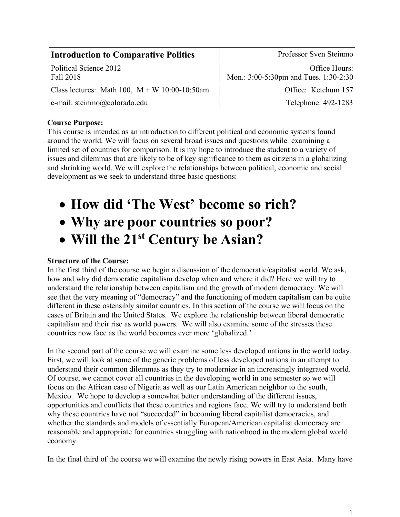| <b>Introduction to Comparative Politics</b>     | Professor Sven Steinmo                                 |
|-------------------------------------------------|--------------------------------------------------------|
| Political Science 2012<br>Fall 2018             | Office Hours:<br>Mon.: 3:00-5:30pm and Tues. 1:30-2:30 |
| Class lectures: Math 100, $M + W$ 10:00-10:50am | Office: Ketchum 157                                    |
| e-mail: steinmo@colorado.edu                    | Telephone: 492-1283                                    |

#### **Course Purpose:**

This course is intended as an introduction to different political and economic systems found around the world. We will focus on several broad issues and questions while examining a limited set of countries for comparison. It is my hope to introduce the student to a variety of issues and dilemmas that are likely to be of key significance to them as citizens in a globalizing and shrinking world. We will explore the relationships between political, economic and social development as we seek to understand three basic questions:

# • **How did 'The West' become so rich?**

# • **Why are poor countries so poor?**

# • **Will the 21st Century be Asian?**

#### **Structure of the Course:**

In the first third of the course we begin a discussion of the democratic/capitalist world. We ask, how and why did democratic capitalism develop when and where it did? Here we will try to understand the relationship between capitalism and the growth of modern democracy. We will see that the very meaning of "democracy" and the functioning of modern capitalism can be quite different in these ostensibly similar countries. In this section of the course we will focus on the cases of Britain and the United States. We explore the relationship between liberal democratic capitalism and their rise as world powers. We will also examine some of the stresses these countries now face as the world becomes ever more 'globalized.'

In the second part of the course we will examine some less developed nations in the world today. First, we will look at some of the generic problems of less developed nations in an attempt to understand their common dilemmas as they try to modernize in an increasingly integrated world. Of course, we cannot cover all countries in the developing world in one semester so we will focus on the African case of Nigeria as well as our Latin American neighbor to the south, Mexico. We hope to develop a somewhat better understanding of the different issues, opportunities and conflicts that these countries and regions face. We will try to understand both why these countries have not "succeeded" in becoming liberal capitalist democracies, and whether the standards and models of essentially European/American capitalist democracy are reasonable and appropriate for countries struggling with nationhood in the modern global world economy.

In the final third of the course we will examine the newly rising powers in East Asia. Many have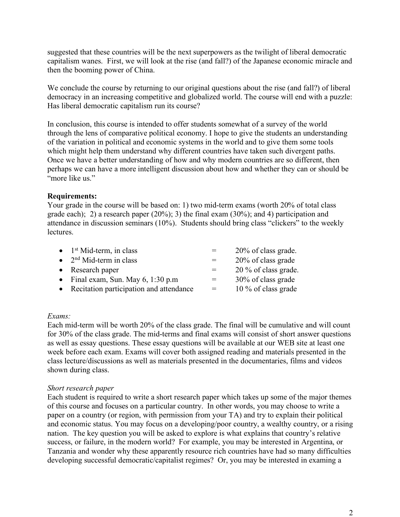suggested that these countries will be the next superpowers as the twilight of liberal democratic capitalism wanes. First, we will look at the rise (and fall?) of the Japanese economic miracle and then the booming power of China.

We conclude the course by returning to our original questions about the rise (and fall?) of liberal democracy in an increasing competitive and globalized world. The course will end with a puzzle: Has liberal democratic capitalism run its course?

In conclusion, this course is intended to offer students somewhat of a survey of the world through the lens of comparative political economy. I hope to give the students an understanding of the variation in political and economic systems in the world and to give them some tools which might help them understand why different countries have taken such divergent paths. Once we have a better understanding of how and why modern countries are so different, then perhaps we can have a more intelligent discussion about how and whether they can or should be "more like us"

#### **Requirements:**

Your grade in the course will be based on: 1) two mid-term exams (worth 20% of total class grade each); 2) a research paper (20%); 3) the final exam (30%); and 4) participation and attendance in discussion seminars (10%). Students should bring class "clickers" to the weekly **lectures** 

| $\bullet$ 1 <sup>st</sup> Mid-term, in class | $=$ | 20% of class grade.  |
|----------------------------------------------|-----|----------------------|
| • $2nd$ Mid-term in class                    | $=$ | 20% of class grade   |
| • Research paper                             | $=$ | 20 % of class grade. |
| • Final exam, Sun. May $6$ , 1:30 p.m        | $=$ | 30% of class grade   |
| • Recitation participation and attendance    | $=$ | 10 % of class grade  |

#### *Exams:*

Each mid-term will be worth 20% of the class grade. The final will be cumulative and will count for 30% of the class grade. The mid-terms and final exams will consist of short answer questions as well as essay questions. These essay questions will be available at our WEB site at least one week before each exam. Exams will cover both assigned reading and materials presented in the class lecture/discussions as well as materials presented in the documentaries, films and videos shown during class.

#### *Short research paper*

Each student is required to write a short research paper which takes up some of the major themes of this course and focuses on a particular country. In other words, you may choose to write a paper on a country (or region, with permission from your TA) and try to explain their political and economic status. You may focus on a developing/poor country, a wealthy country, or a rising nation. The key question you will be asked to explore is what explains that country's relative success, or failure, in the modern world? For example, you may be interested in Argentina, or Tanzania and wonder why these apparently resource rich countries have had so many difficulties developing successful democratic/capitalist regimes? Or, you may be interested in examing a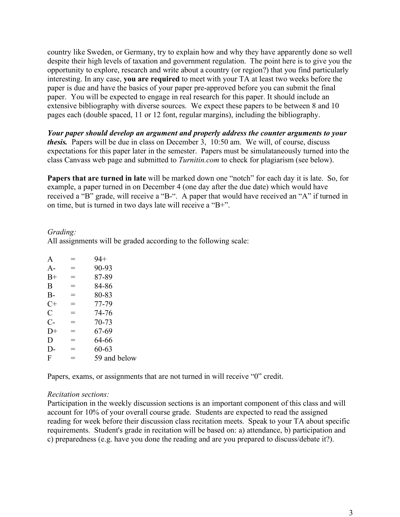country like Sweden, or Germany, try to explain how and why they have apparently done so well despite their high levels of taxation and government regulation. The point here is to give you the opportunity to explore, research and write about a country (or region?) that you find particularly interesting. In any case, **you are required** to meet with your TA at least two weeks before the paper is due and have the basics of your paper pre-approved before you can submit the final paper. You will be expected to engage in real research for this paper. It should include an extensive bibliography with diverse sources. We expect these papers to be between 8 and 10 pages each (double spaced, 11 or 12 font, regular margins), including the bibliography.

*Your paper should develop an argument and properly address the counter arguments to your thesis.* Papers will be due in class on December 3, 10:50 am. We will, of course, discuss expectations for this paper later in the semester. Papers must be simulataneously turned into the class Canvass web page and submitted to *Turnitin.com* to check for plagiarism (see below).

**Papers that are turned in late** will be marked down one "notch" for each day it is late. So, for example, a paper turned in on December 4 (one day after the due date) which would have received a "B" grade, will receive a "B-". A paper that would have received an "A" if turned in on time, but is turned in two days late will receive a "B+".

#### *Grading:*

All assignments will be graded according to the following scale:

| A             | Ξ   | $94+$        |
|---------------|-----|--------------|
| $A-$          | Ξ   | 90-93        |
| $B+$          | Ξ   | 87-89        |
| B             | =   | 84-86        |
| $B-$          | =   | 80-83        |
| $C+$          | $=$ | 77-79        |
| $\mathcal{C}$ | =   | 74-76        |
| $C-$          | =   | $70 - 73$    |
| $D+$          | $=$ | 67-69        |
| D             | =   | 64-66        |
| $D-$          | $=$ | $60 - 63$    |
| F             | =   | 59 and below |
|               |     |              |

Papers, exams, or assignments that are not turned in will receive "0" credit.

#### *Recitation sections:*

Participation in the weekly discussion sections is an important component of this class and will account for 10% of your overall course grade. Students are expected to read the assigned reading for week before their discussion class recitation meets. Speak to your TA about specific requirements. Student's grade in recitation will be based on: a) attendance, b) participation and c) preparedness (e.g. have you done the reading and are you prepared to discuss/debate it?).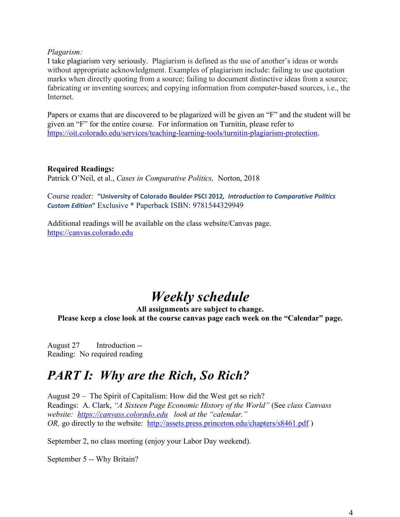#### *Plagarism:*

I take plagiarism very seriously. Plagiarism is defined as the use of another's ideas or words without appropriate acknowledgment. Examples of plagiarism include: failing to use quotation marks when directly quoting from a source; failing to document distinctive ideas from a source; fabricating or inventing sources; and copying information from computer-based sources, i.e., the **Internet** 

Papers or exams that are discovered to be plagarized will be given an "F" and the student will be given an "F" for the entire course. For information on Turnitin, please refer to https://oit.colorado.edu/services/teaching-learning-tools/turnitin-plagiarism-protection.

#### **Required Readings:**

Patrick O'Neil, et al., *Cases in Comparative Politics,* Norton, 2018

Course reader: **"University of Colorado Boulder PSCI 2012***, Introduction to Comparative Politics Custom Edition***"** Exclusive \* Paperback ISBN: 9781544329949

Additional readings will be available on the class website/Canvas page. https://canvas.colorado.edu

# *Weekly schedule*

**All assignments are subject to change.** 

**Please keep a close look at the course canvas page each week on the "Calendar" page.**

August 27 Introduction -- Reading: No required reading

## *PART I: Why are the Rich, So Rich?*

August 29 – The Spirit of Capitalism: How did the West get so rich? Readings: A. Clark, *"A Sixteen Page Economic History of the World"* (See *class Canvass website: https://canvass.colorado.edu look at the "calendar." OR*, go directly to the website: http://assets.press.princeton.edu/chapters/s8461.pdf)

September 2, no class meeting (enjoy your Labor Day weekend).

September 5 -- Why Britain?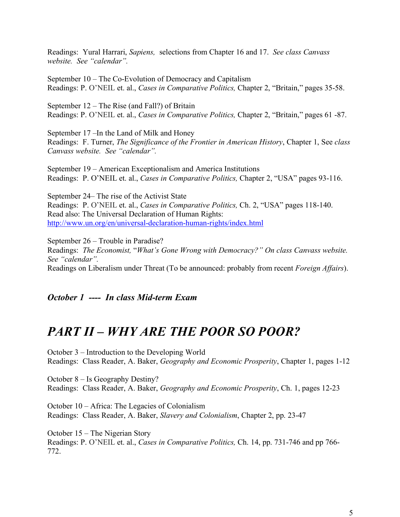Readings: Yural Harrari, *Sapiens,* selections from Chapter 16 and 17. *See class Canvass website. See "calendar".*

September 10 – The Co-Evolution of Democracy and Capitalism Readings: P. O'NEIL et. al., *Cases in Comparative Politics,* Chapter 2, "Britain," pages 35-58.

September 12 – The Rise (and Fall?) of Britain Readings: P. O'NEIL et. al., *Cases in Comparative Politics,* Chapter 2, "Britain," pages 61 -87.

September 17 –In the Land of Milk and Honey Readings: F. Turner, *The Significance of the Frontier in American History*, Chapter 1, See *class Canvass website. See "calendar".*

September 19 – American Exceptionalism and America Institutions Readings: P. O'NEIL et. al., *Cases in Comparative Politics,* Chapter 2, "USA" pages 93-116.

September 24– The rise of the Activist State Readings: P. O'NEIL et. al., *Cases in Comparative Politics,* Ch. 2, "USA" pages 118-140. Read also: The Universal Declaration of Human Rights: http://www.un.org/en/universal-declaration-human-rights/index.html

September 26 – Trouble in Paradise? Readings: *The Economist,* "*What's Gone Wrong with Democracy?" On class Canvass website. See "calendar".* Readings on Liberalism under Threat (To be announced: probably from recent *Foreign Affairs*).

#### *October 1 ---- In class Mid-term Exam*

## *PART II – WHY ARE THE POOR SO POOR?*

October 3 – Introduction to the Developing World Readings: Class Reader, A. Baker, *Geography and Economic Prosperity*, Chapter 1, pages 1-12

October 8 – Is Geography Destiny? Readings: Class Reader, A. Baker, *Geography and Economic Prosperity*, Ch. 1, pages 12-23

October 10 – Africa: The Legacies of Colonialism Readings: Class Reader, A. Baker, *Slavery and Colonialism*, Chapter 2, pp. 23-47

October 15 – The Nigerian Story Readings: P. O'NEIL et. al., *Cases in Comparative Politics,* Ch. 14, pp. 731-746 and pp 766- 772.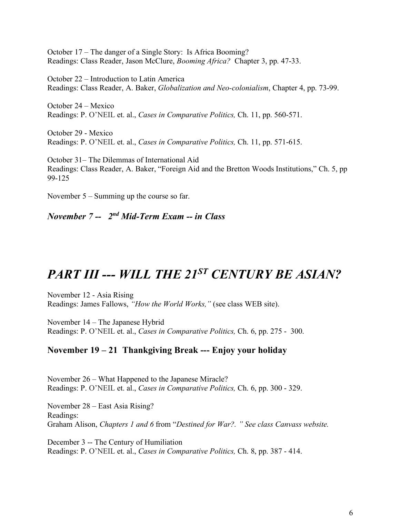October 17 – The danger of a Single Story: Is Africa Booming? Readings: Class Reader, Jason McClure, *Booming Africa?* Chapter 3, pp. 47-33.

October 22 – Introduction to Latin America Readings: Class Reader, A. Baker, *Globalization and Neo-colonialism*, Chapter 4, pp. 73-99.

October 24 – Mexico Readings: P. O'NEIL et. al., *Cases in Comparative Politics,* Ch. 11, pp. 560-571.

October 29 - Mexico Readings: P. O'NEIL et. al., *Cases in Comparative Politics,* Ch. 11, pp. 571-615.

October 31– The Dilemmas of International Aid Readings: Class Reader, A. Baker, "Foreign Aid and the Bretton Woods Institutions," Ch. 5, pp 99-125

November 5 – Summing up the course so far.

*November 7 -- 2nd Mid-Term Exam -- in Class* 

## *PART III --- WILL THE 21ST CENTURY BE ASIAN?*

November 12 - Asia Rising Readings: James Fallows, *"How the World Works,"* (see class WEB site).

November 14 – The Japanese Hybrid Readings: P. O'NEIL et. al., *Cases in Comparative Politics,* Ch. 6, pp. 275 - 300.

#### **November 19 – 21 Thankgiving Break --- Enjoy your holiday**

November 26 – What Happened to the Japanese Miracle? Readings: P. O'NEIL et. al., *Cases in Comparative Politics,* Ch. 6, pp. 300 - 329.

November 28 – East Asia Rising? Readings: Graham Alison, *Chapters 1 and 6* from "*Destined for War?. " See class Canvass website.* 

December 3 -- The Century of Humiliation Readings: P. O'NEIL et. al., *Cases in Comparative Politics,* Ch. 8, pp. 387 - 414.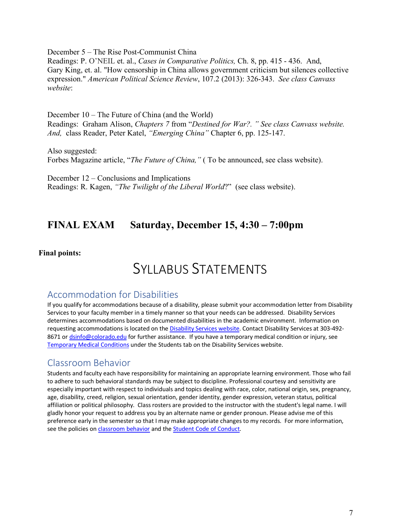December 5 – The Rise Post-Communist China

Readings: P. O'NEIL et. al., *Cases in Comparative Politics,* Ch. 8, pp. 415 - 436. And, Gary King, et. al. "How censorship in China allows government criticism but silences collective expression." *American Political Science Review*, 107.2 (2013): 326-343. *See class Canvass website*:

December 10 – The Future of China (and the World) Readings: Graham Alison, *Chapters 7* from "*Destined for War?. " See class Canvass website. And,* class Reader, Peter Katel, *"Emerging China"* Chapter 6, pp. 125-147.

Also suggested: Forbes Magazine article, "*The Future of China,"* ( To be announced, see class website).

December 12 – Conclusions and Implications Readings: R. Kagen, *"The Twilight of the Liberal World*?" (see class website).

### **FINAL EXAM Saturday, December 15, 4:30 – 7:00pm**

#### **Final points:**

## SYLLABUS STATEMENTS

#### Accommodation for Disabilities

If you qualify for accommodations because of a disability, please submit your accommodation letter from Disability Services to your faculty member in a timely manner so that your needs can be addressed. Disability Services determines accommodations based on documented disabilities in the academic environment. Information on requesting accommodations is located on the Disability Services website. Contact Disability Services at 303-492- 8671 or dsinfo@colorado.edu for further assistance. If you have a temporary medical condition or injury, see Temporary Medical Conditions under the Students tab on the Disability Services website.

#### Classroom Behavior

Students and faculty each have responsibility for maintaining an appropriate learning environment. Those who fail to adhere to such behavioral standards may be subject to discipline. Professional courtesy and sensitivity are especially important with respect to individuals and topics dealing with race, color, national origin, sex, pregnancy, age, disability, creed, religion, sexual orientation, gender identity, gender expression, veteran status, political affiliation or political philosophy. Class rosters are provided to the instructor with the student's legal name. I will gladly honor your request to address you by an alternate name or gender pronoun. Please advise me of this preference early in the semester so that I may make appropriate changes to my records. For more information, see the policies on classroom behavior and the Student Code of Conduct.